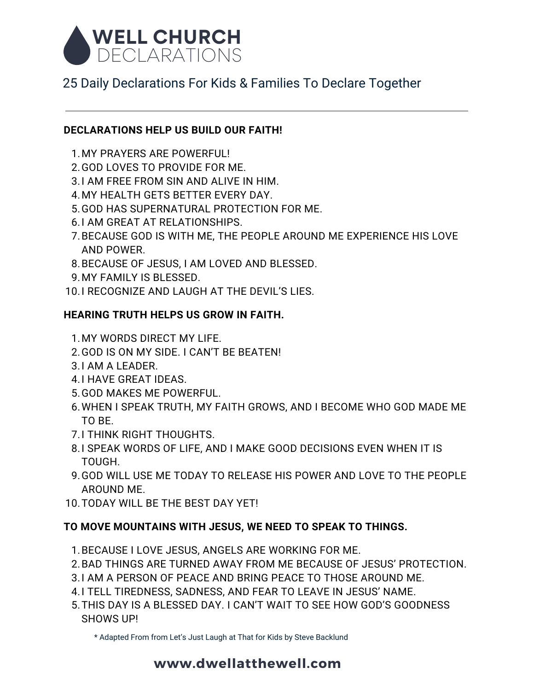

## 25 Daily Declarations For Kids & Families To Declare Together

#### **DECLARATIONS HELP US BUILD OUR FAITH!**

- MY PRAYERS ARE POWERFUL! 1.
- 2.GOD LOVES TO PROVIDE FOR ME.
- I AM FREE FROM SIN AND ALIVE IN HIM. 3.
- MY HEALTH GETS BETTER EVERY DAY. 4.
- GOD HAS SUPERNATURAL PROTECTION FOR ME. 5.
- 6.I AM GREAT AT RELATIONSHIPS.
- 7.BECAUSE GOD IS WITH ME, THE PEOPLE AROUND ME EXPERIENCE HIS LOVE AND POWER.
- BECAUSE OF JESUS, I AM LOVED AND BLESSED. 8.
- MY FAMILY IS BLESSED. 9.
- 10.I RECOGNIZE AND LAUGH AT THE DEVIL'S LIES.

#### **HEARING TRUTH HELPS US GROW IN FAITH.**

- MY WORDS DIRECT MY LIFE. 1.
- GOD IS ON MY SIDE. I CAN'T BE BEATEN! 2.
- 3.I AM A LEADER.
- 4.I HAVE GREAT IDEAS.
- GOD MAKES ME POWERFUL. 5.
- WHEN I SPEAK TRUTH, MY FAITH GROWS, AND I BECOME WHO GOD MADE ME 6. TO BE.
- 7.I THINK RIGHT THOUGHTS.
- 8.I SPEAK WORDS OF LIFE, AND I MAKE GOOD DECISIONS EVEN WHEN IT IS TOUGH.
- GOD WILL USE ME TODAY TO RELEASE HIS POWER AND LOVE TO THE PEOPLE 9. AROUND ME.
- 10. TODAY WILL BE THE BEST DAY YET!

#### **TO MOVE MOUNTAINS WITH JESUS, WE NEED TO SPEAK TO THINGS.**

- BECAUSE I LOVE JESUS, ANGELS ARE WORKING FOR ME. 1.
- 2.BAD THINGS ARE TURNED AWAY FROM ME BECAUSE OF JESUS' PROTECTION.
- 3.I AM A PERSON OF PEACE AND BRING PEACE TO THOSE AROUND ME.
- 4.I TELL TIREDNESS, SADNESS, AND FEAR TO LEAVE IN JESUS' NAME.
- THIS DAY IS A BLESSED DAY. I CAN'T WAIT TO SEE HOW GOD'S GOODNESS 5.SHOWS UP!

\* Adapted From from Let's Just Laugh at That for Kids by Steve Backlund

### **www.dwellatthewell.com**